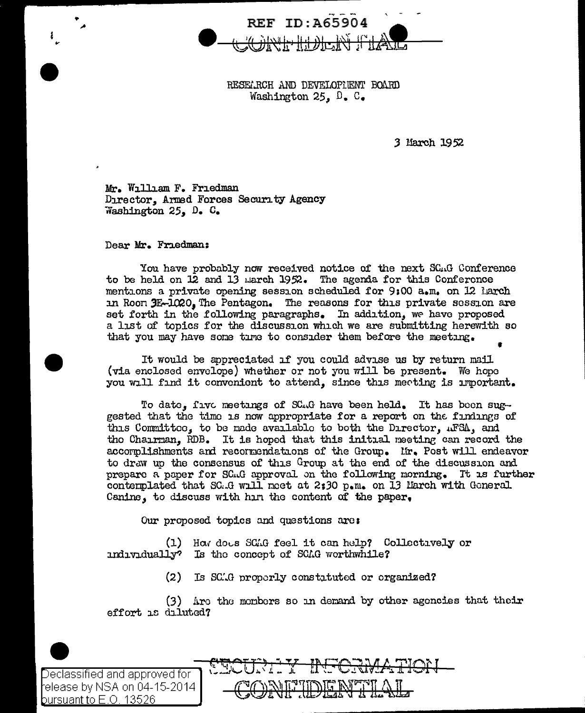

RESELRCH AND DEVELOPLENT BOARD Washington 25,  $D_e$ ,  $C_e$ 

J March 1952

Mr. William F. Friedman Director, Armed Forces Security Agency Washington 25, D. C.

Dear Mr. Friedman:

You have probably now received notice of the next SC.G Conference to be held on 12 and 13 warch 1952. The agenda for this Conference mentions a private opening session scheduled for 9100 a.m. on l2 liarch in Roon  $E-I020$ , The Pentagon. The reasons for this private session are set forth in the following paragraphs. In addition, we have proposed a lJ.st of topics for the discussion which we are submitting herewith ao that you may have some time to consider them before the meeting.

It would be appreciated if you could advise us by return mail (via enclosed envelope) whether or not you will be present. We hope you will find it convenient to attend, since this meeting is important.

To date, five meetings of SC.,G have been held. It has been suggested that the time is now appropriate for a report on the findings of this Committee, to be made available to both the Director, .1FSA, and the Chairman, RDB. It is hoped that this initial meeting can record the accorplishments and recormendations of the Group. Ur. Post will endeavor to draw up the consensus of this Group at the end of the discussion and prepare a paper for SCII approval on the following morning. It is further contemplated that SC.G will neet at 2:30 p.m. on 13 March with Goneral Canine, to discuss with han the content of the paper,

Our proposed topics and questions are:

(1) Haw does SCAG feel it can help? Collectively or  $indıv<sub>i</sub>duall<sub>y</sub>$ ? Is the concept of SC $\Omega$  worthwhile?

 $(2)$  Is SC.G proporly constituted or organized?

 $(3)$  Are the monbors so in demand by other agencies that their effort is diluted?